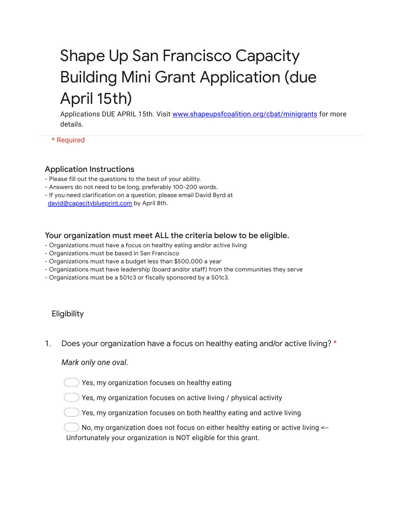# Shape Up San Francisco Capacity Building Mini Grant Application (due April 15th)

Applications DUE APRIL 15th. Visit [www.shapeupsfcoalition.org/cbat/minigrants](https://www.google.com/url?q=http://www.shapeupsfcoalition.org/cbat/minigrants&sa=D&source=editors&ust=1645047649251423&usg=AOvVaw0s0g2kgxGtHmcFrI6qQ3iO) for more details.

\* Required

# Application Instructions

- Please fill out the questions to the best of your ability.
- Answers do not need to be long, preferably 100-200 words.
- If you need clarification on a question, please email David Byrd at [david@capacityblueprint.com](mailto:david@capacityblueprint.com) by April 8th.

## Your organization must meet ALL the criteria below to be eligible.

- Organizations must have a focus on healthy eating and/or active living
- Organizations must be based in San Francisco
- Organizations must have a budget less than \$500,000 a year
- Organizations must have leadership (board and/or staff) from the communities they serve
- Organizations must be a 501c3 or fiscally sponsored by a 501c3.

# Eligibility

1. Does your organization have a focus on healthy eating and/or active living? \*

#### *Mark only one oval.*

) Yes, my organization focuses on healthy eating

- ) Yes, my organization focuses on active living / physical activity
	- $\big)$  Yes, my organization focuses on both healthy eating and active living

) No, my organization does not focus on either healthy eating or active living  $\leftarrow$ Unfortunately your organization is NOT eligible for this grant.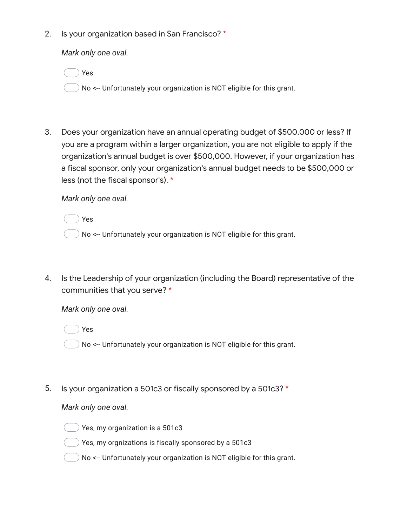2. Is your organization based in San Francisco? \*

*Mark only one oval.*

Yes

No <-- Unfortunately your organization is NOT eligible for this grant.

3. Does your organization have an annual operating budget of \$500,000 or less? If you are a program within a larger organization, you are not eligible to apply if the organization's annual budget is over \$500,000. However, if your organization has a fiscal sponsor, only your organization's annual budget needs to be \$500,000 or less (not the fiscal sponsor's). \*

*Mark only one oval.*

Yes

- No <-- Unfortunately your organization is NOT eligible for this grant.
- 4. Is the Leadership of your organization (including the Board) representative of the communities that you serve? \*

*Mark only one oval.*

Yes

No <-- Unfortunately your organization is NOT eligible for this grant.

5. Is your organization a 501c3 or fiscally sponsored by a 501c3? \*

*Mark only one oval.*



) Yes, my organization is a 501 $c$ 3

- ) Yes, my orgnizations is fiscally sponsored by a 501 $\rm c3$
- No <-- Unfortunately your organization is NOT eligible for this grant.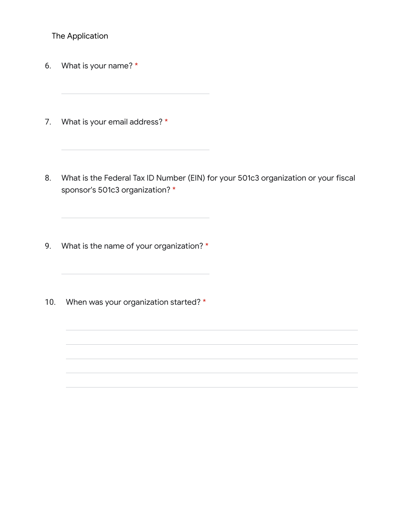The Application

- 6. What is your name? \*
- 7. What is your email address? \*
- 8. What is the Federal Tax ID Number (EIN) for your 501c3 organization or your fiscal sponsor's 501c3 organization? \*
- 9. What is the name of your organization? \*
- 10. When was your organization started? \*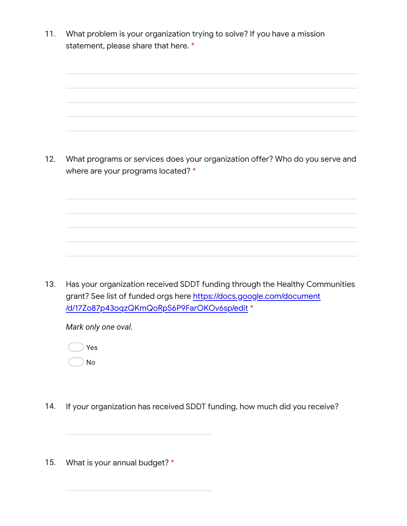11. What problem is your organization trying to solve? If you have a mission statement, please share that here. \*

12. What programs or services does your organization offer? Who do you serve and where are your programs located? \*

13. Has your organization received SDDT funding through the Healthy Communities grant? See list of funded orgs here [https://docs.google.com/document](https://www.google.com/url?q=https://docs.google.com/document/d/17Zo87p43oqzQKmQoRpS6P9FarOKOv6sp/edit&sa=D&source=editors&ust=1645047649257484&usg=AOvVaw3HdQogDhghorA8Wx_brG-C) [/d/17Zo87p43oqzQKmQoRpS6P9FarOKOv6sp/edit](https://www.google.com/url?q=https://docs.google.com/document/d/17Zo87p43oqzQKmQoRpS6P9FarOKOv6sp/edit&sa=D&source=editors&ust=1645047649257484&usg=AOvVaw3HdQogDhghorA8Wx_brG-C) \*

*Mark only one oval.*



- 14. If your organization has received SDDT funding, how much did you receive?
- 15. What is your annual budget? \*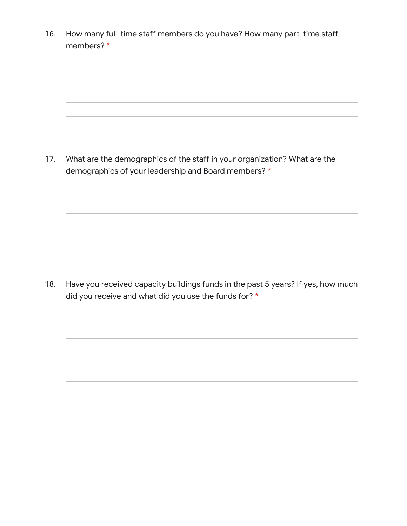16. 17. What are the demographics of the staff in your organization? What are the 18. How many full-time staff members do you have? How many part-time staff members? \* demographics of your leadership and Board members? \* Have you received capacity buildings funds in the past 5 years? If yes, how much did you receive and what did you use the funds for? \*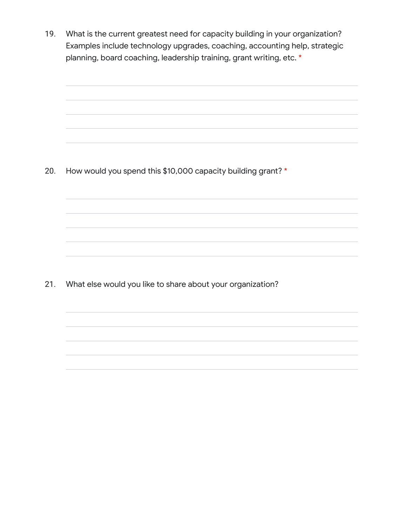19. What is the current greatest need for capacity building in your organization? Examples include technology upgrades, coaching, accounting help, strategic planning, board coaching, leadership training, grant writing, etc. \*

20. How would you spend this \$10,000 capacity building grant? \*

21. What else would you like to share about your organization?